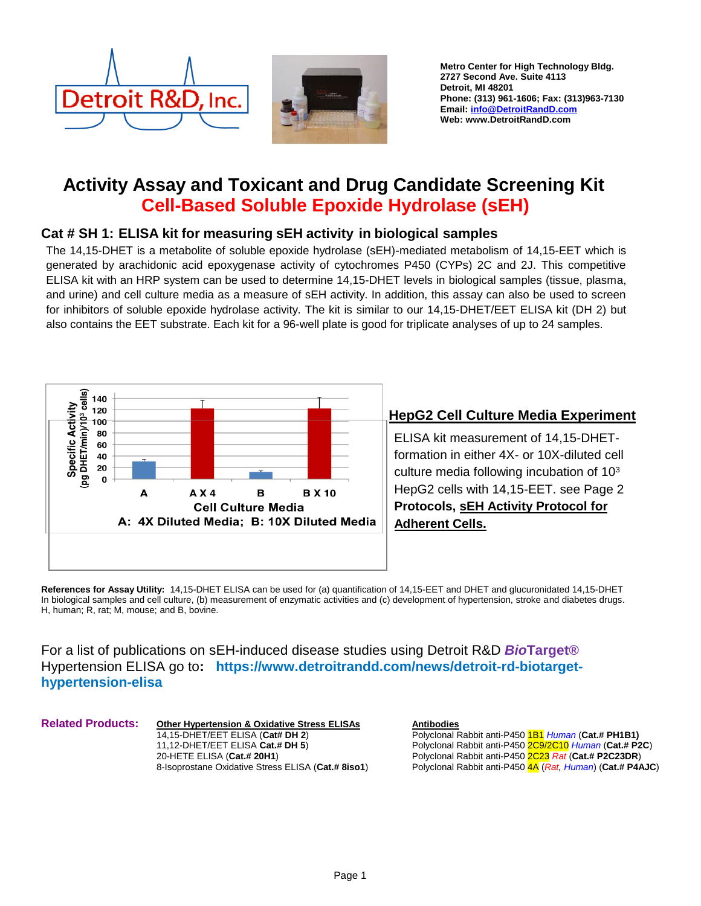



Metro Center for High Technology Bldg. 2727 Second Ave. Suite 4113 Detroit, MI 48201 Phone: (313) 961-1606; Fax: (313)963-7130 Email: [info@DetroitRandD.com](mailto:info@DetroitRandD.com)  Web: www.DetroitRandD.com

# **Activity Assay and Toxicant and Drug Candidate Screening Kit Cell-Based Soluble Epoxide Hydrolase (sEH)**

## **Cat # SH 1: ELISA kit for measuring sEH activity in biological samples**

The 14,15-DHET is a metabolite of soluble epoxide hydrolase (sEH)-mediated metabolism of 14,15-EET which is generated by arachidonic acid epoxygenase activity of cytochromes P450 (CYPs) 2C and 2J. This competitive ELISA kit with an HRP system can be used to determine 14,15-DHET levels in biological samples (tissue, plasma, and urine) and cell culture media as a measure of sEH activity. In addition, this assay can also be used to screen for inhibitors of soluble epoxide hydrolase activity. The kit is similar to our 14,15-DHET/EET ELISA kit (DH 2) but also contains the EET substrate. Each kit for a 96-well plate is good for triplicate analyses of up to 24 samples.



# **HepG2 Cell Culture Media Experiment**

ELISA kit measurement of 14,15-DHETformation in either 4X- or 10X-diluted cell culture media following incubation of 10<sup>3</sup> HepG2 cells with 14,15-EET. see Page 2 **Protocols, sEH Activity Protocol for Adherent Cells.**

**References for Assay Utility:** 14,15-DHET ELISA can be used for (a) quantification of 14,15-EET and DHET and glucuronidated 14,15-DHET In biological samples and cell culture, (b) measurement of enzymatic activities and (c) development of hypertension, stroke and diabetes drugs. H, human; R, rat; M, mouse; and B, bovine.

For a list of publications on sEH-induced disease studies using Detroit R&D *Bio***Target®**  Hypertension ELISA go to**: https://www.detroitrandd.com/news/detroit-rd-biotargethypertension-elisa**

Related Products:

**Other Hypertension & Oxidative Stress ELISAs** 14,15-DHET/EET ELISA (**Cat# DH 2**) 11,12-DHET/EET ELISA **Cat.# DH 5**) 20-HETE ELISA (**Cat.# 20H1**) 8-Isoprostane Oxidative Stress ELISA (**Cat.# 8iso1**) **Antibodies**

Polyclonal Rabbit anti-P450 1B1 *Human* (**Cat.# PH1B1)** Polyclonal Rabbit anti-P450 2C9/2C10 *Human* (**Cat.# P2C**) Polyclonal Rabbit anti-P450 2C23 *Rat* (**Cat.# P2C23DR**) Polyclonal Rabbit anti-P450 4A (*Rat, Human*) (**Cat.# P4AJC**)